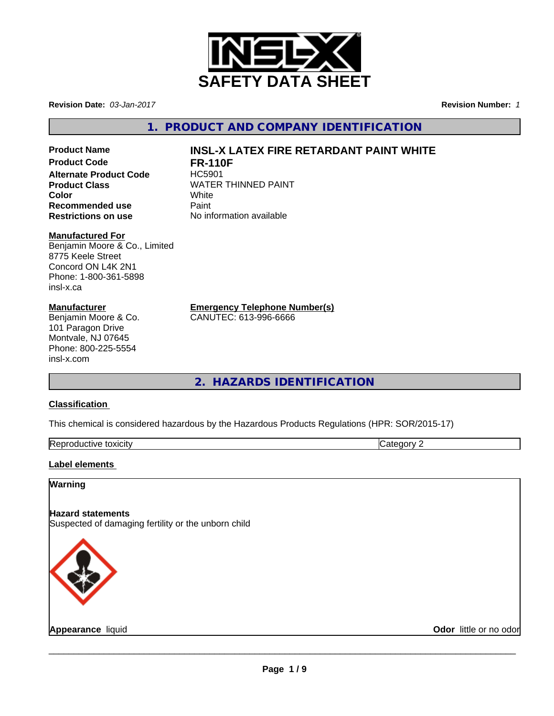

**Revision Date:** *03-Jan-2017* **Revision Number:** *1*

**1. PRODUCT AND COMPANY IDENTIFICATION**

# **Product Code FR-110F Alternate Product Code** HC5901 **Recommended use 5 AME Paint<br>
<b>Restrictions on use** No inf

#### **Manufactured For**

Benjamin Moore & Co., Limited 8775 Keele Street Concord ON L4K 2N1 Phone: 1-800-361-5898 insl-x.ca

#### **Manufacturer**

Benjamin Moore & Co. 101 Paragon Drive Montvale, NJ 07645 Phone: 800-225-5554 insl-x.com

## **Product Name INSL-X LATEX FIRE RETARDANT PAINT WHITE**

**Product Class**<br>
Color<br>
White<br>
White **Color** White **Restrictions on use** No information available

**Emergency Telephone Number(s)**

CANUTEC: 613-996-6666

**2. HAZARDS IDENTIFICATION**

#### **Classification**

This chemical is considered hazardous by the Hazardous Products Regulations (HPR: SOR/2015-17)

| lm.<br><b>JXICITV</b><br>lK er<br>.<br>. . |  |
|--------------------------------------------|--|
|                                            |  |

#### **Label elements**

#### **Warning**

#### **Hazard statements**

Suspected of damaging fertility or the unborn child



**Appearance** liquid **Odor** little or no odor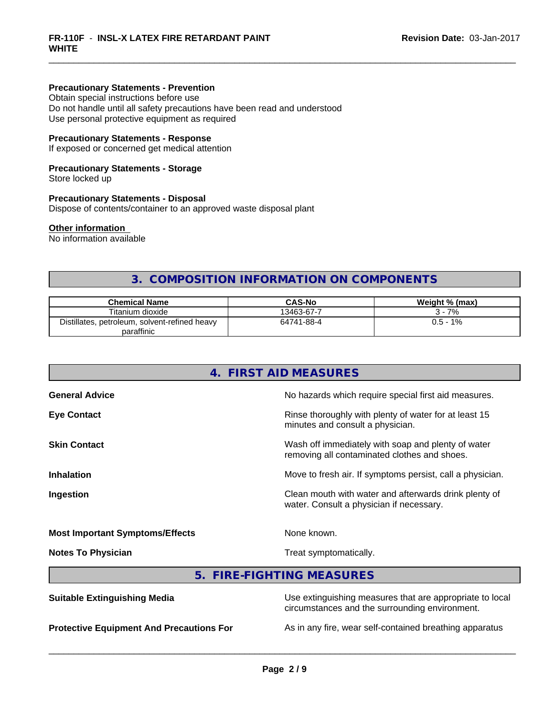#### **Precautionary Statements - Prevention**

Obtain special instructions before use Do not handle until all safety precautions have been read and understood Use personal protective equipment as required

#### **Precautionary Statements - Response**

If exposed or concerned get medical attention

#### **Precautionary Statements - Storage**

Store locked up

#### **Precautionary Statements - Disposal**

Dispose of contents/container to an approved waste disposal plant

#### **Other information**

No information available

### **3. COMPOSITION INFORMATION ON COMPONENTS**

| <b>Chemical Name</b>                               | <b>CAS-No</b> | Weight % (max) |
|----------------------------------------------------|---------------|----------------|
| Titanium dioxide                                   | 13463-67-7    | 7%             |
| Distillates.<br>, petroleum, solvent-refined heavy | 64741-88-4    | 1%<br>$0.5 -$  |
| paraffinic                                         |               |                |

## **4. FIRST AID MEASURES General Advice** No hazards which require special first aid measures. **Eye Contact Exercise 2.1 All 2.5 All 2.5 All 2.6 All 2.6 All 2.6 All 2.6 All 2.6 All 2.6 All 2.6 All 2.6 All 2.6 All 2.6 All 2.6 All 2.6 All 2.6 All 2.6 All 2.6 All 2.6 All 2.6 All 2.6 All 2.6 All 2.6 All 2.6 All 2.6 Al** minutes and consult a physician. **Skin Contact** Mass of immediately with soap and plenty of water removing all contaminated clothes and shoes. **Inhalation** Move to fresh air. If symptoms persist, call a physician. **Ingestion Ingestion Clean mouth with water and afterwards drink plenty of** water. Consult a physician if necessary. **Most Important Symptoms/Effects** None known. **Notes To Physician Treat symptomatically.** Treat symptomatically. **5. FIRE-FIGHTING MEASURES**

| <b>Suitable Extinguishing Media</b>             | Use extinguishing measures that are appropriate to local<br>circumstances and the surrounding environment. |
|-------------------------------------------------|------------------------------------------------------------------------------------------------------------|
| <b>Protective Equipment And Precautions For</b> | As in any fire, wear self-contained breathing apparatus                                                    |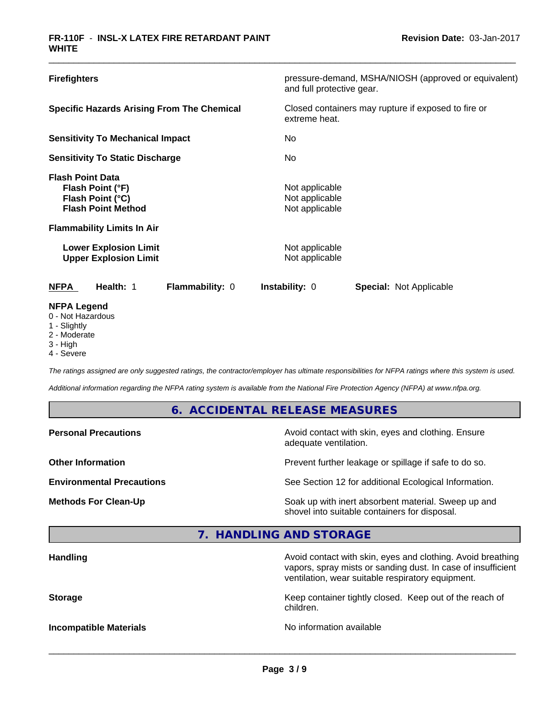| <b>Firefighters</b>                                                                                                                                                                               |                        | and full protective gear.                                                              | pressure-demand, MSHA/NIOSH (approved or equivalent) |
|---------------------------------------------------------------------------------------------------------------------------------------------------------------------------------------------------|------------------------|----------------------------------------------------------------------------------------|------------------------------------------------------|
| <b>Specific Hazards Arising From The Chemical</b>                                                                                                                                                 |                        | Closed containers may rupture if exposed to fire or<br>extreme heat.                   |                                                      |
| <b>Sensitivity To Mechanical Impact</b>                                                                                                                                                           |                        | No                                                                                     |                                                      |
| <b>Sensitivity To Static Discharge</b>                                                                                                                                                            |                        | No                                                                                     |                                                      |
| <b>Flash Point Data</b><br>Flash Point (°F)<br>Flash Point (°C)<br><b>Flash Point Method</b><br><b>Flammability Limits In Air</b><br><b>Lower Explosion Limit</b><br><b>Upper Explosion Limit</b> |                        | Not applicable<br>Not applicable<br>Not applicable<br>Not applicable<br>Not applicable |                                                      |
| <b>NFPA</b><br>Health: 1                                                                                                                                                                          | <b>Flammability: 0</b> | <b>Instability: 0</b>                                                                  | <b>Special: Not Applicable</b>                       |
| <b>NFPA Legend</b><br>0 - Not Hazardous<br>$\lambda$ $\sim$ $\sim$ $\sim$ $\sim$ $\sim$ $\sim$                                                                                                    |                        |                                                                                        |                                                      |

- 1 Slightly
- 2 Moderate
- 3 High
- 4 Severe

*The ratings assigned are only suggested ratings, the contractor/employer has ultimate responsibilities for NFPA ratings where this system is used.*

*Additional information regarding the NFPA rating system is available from the National Fire Protection Agency (NFPA) at www.nfpa.org.*

#### **6. ACCIDENTAL RELEASE MEASURES**

| <b>Personal Precautions</b>      | Avoid contact with skin, eyes and clothing. Ensure<br>adequate ventilation.                          |
|----------------------------------|------------------------------------------------------------------------------------------------------|
| <b>Other Information</b>         | Prevent further leakage or spillage if safe to do so.                                                |
| <b>Environmental Precautions</b> | See Section 12 for additional Ecological Information.                                                |
| <b>Methods For Clean-Up</b>      | Soak up with inert absorbent material. Sweep up and<br>shovel into suitable containers for disposal. |

### **7. HANDLING AND STORAGE**

| <b>Handling</b>               | Avoid contact with skin, eyes and clothing. Avoid breathing<br>vapors, spray mists or sanding dust. In case of insufficient<br>ventilation, wear suitable respiratory equipment. |
|-------------------------------|----------------------------------------------------------------------------------------------------------------------------------------------------------------------------------|
| <b>Storage</b>                | Keep container tightly closed. Keep out of the reach of<br>children.                                                                                                             |
| <b>Incompatible Materials</b> | No information available                                                                                                                                                         |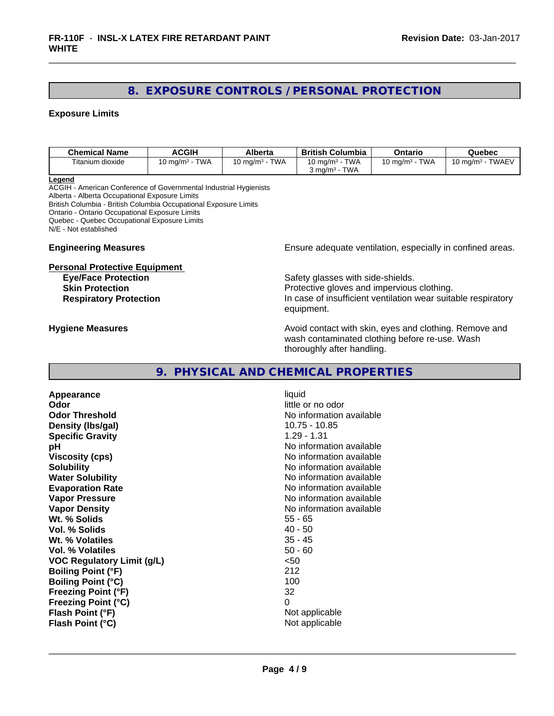#### **8. EXPOSURE CONTROLS / PERSONAL PROTECTION**

#### **Exposure Limits**

| <b>Chemical Name</b> | <b>ACGIH</b>                           | Alberta                         | <b>Columbia</b><br>British        | Ontario                   | Quebec                           |
|----------------------|----------------------------------------|---------------------------------|-----------------------------------|---------------------------|----------------------------------|
| Titanium dioxide     | <b>TWA</b><br>◠<br>$.0 \text{ mg/m}^3$ | TWA<br>^<br>$10 \text{ mg/m}^3$ | <b>TWA</b><br>$10 \text{ mg/m}^3$ | <b>TWA</b><br>10 mg/m $3$ | - TWAEV<br>. J ma/m <sup>3</sup> |
|                      |                                        |                                 | <b>TWA</b><br>് ma/m <sup>3</sup> |                           |                                  |

**Legend**

ACGIH - American Conference of Governmental Industrial Hygienists Alberta - Alberta Occupational Exposure Limits British Columbia - British Columbia Occupational Exposure Limits Ontario - Ontario Occupational Exposure Limits Quebec - Quebec Occupational Exposure Limits N/E - Not established

#### **Personal Protective Equipment**

**Engineering Measures Ensure** Ensure adequate ventilation, especially in confined areas.

**Eye/Face Protection Safety glasses with side-shields. Skin Protection Protection Protective gloves and impervious clothing. Respiratory Protection In case of insufficient ventilation wear suitable respiratory** equipment.

**Hygiene Measures Avoid contact with skin, eyes and clothing. Remove and Avoid contact with skin, eyes and clothing. Remove and Avoid contact with skin, eyes and clothing. Remove and** wash contaminated clothing before re-use. Wash thoroughly after handling.

#### **9. PHYSICAL AND CHEMICAL PROPERTIES**

**Appearance** liquid **Odor** little or no odor **Odor Threshold No information available No information available Density (lbs/gal)** 10.75 - 10.85<br> **Specific Gravity** 1 29 - 1.31 **Specific Gravity pH pH**  $\blacksquare$ **Viscosity (cps)** No information available **Solubility** No information available **Water Solubility Water Solubility No information available Evaporation Rate Evaporation Rate No information available Vapor Pressure** No information available **Vapor Density No information available No information available Wt. % Solids** 55 - 65 **Vol. % Solids Wt. % Volatiles** 35 - 45 **Vol. % Volatiles** 50 - 60 **VOC Regulatory Limit (g/L)** <50 **Boiling Point (°F)** 212 **Boiling Point (°C)** 100<br>**Freezing Point (°F)** 120 120 121 122 132 **Freezing Point (°F) Freezing Point (°C)** 0 **Flash Point (°F)** Not applicable **Flash Point (°C)** Not applicable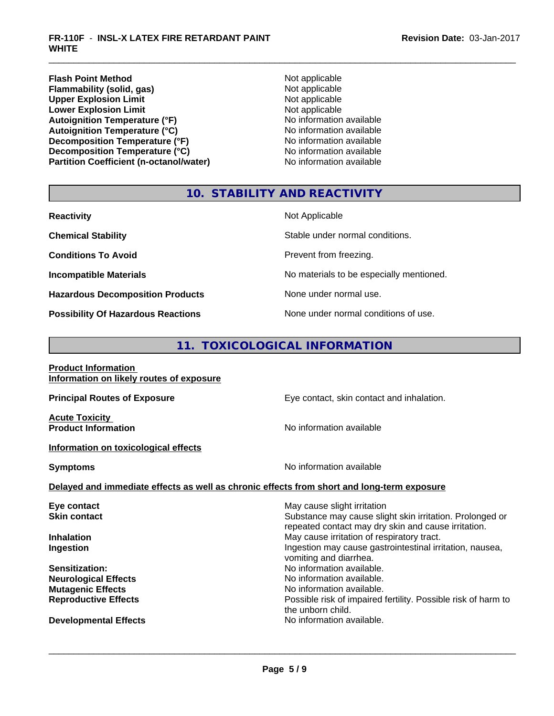**Flash Point Method**<br> **Flammability (solid, gas)** Not applicable Not applicable **Flammability (solid, gas)** Not applicable<br> **Upper Explosion Limit** Not applicable<br>
Not applicable **Upper Explosion Limit**<br> **Lower Explosion Limit**<br> **Lower Explosion Limit**<br> **Not applicable Lower Explosion Limit**<br> **Autoignition Temperature (°F)**<br> **Autoignition Temperature (°F)**<br> **Autoignition Temperature (°F)**<br> **Autoignition Temperature (°F)** Autoignition Temperature (°F)<br>
Autoignition Temperature (°C)<br>
No information available **Autoignition Temperature (°C) Decomposition Temperature (°F)**<br> **Decomposition Temperature (°C)** No information available<br>
No information available **Decomposition Temperature (°C)**<br> **Partition Coefficient (n-octanol/water)** No information available **Partition Coefficient (n-octanol/water)** 

#### **10. STABILITY AND REACTIVITY**

| <b>Reactivity</b>                         | Not Applicable                           |
|-------------------------------------------|------------------------------------------|
| <b>Chemical Stability</b>                 | Stable under normal conditions.          |
| <b>Conditions To Avoid</b>                | Prevent from freezing.                   |
| <b>Incompatible Materials</b>             | No materials to be especially mentioned. |
| <b>Hazardous Decomposition Products</b>   | None under normal use.                   |
| <b>Possibility Of Hazardous Reactions</b> | None under normal conditions of use.     |

#### **11. TOXICOLOGICAL INFORMATION**

| <b>Product Information</b><br>Information on likely routes of exposure                     |                                                                                                                 |
|--------------------------------------------------------------------------------------------|-----------------------------------------------------------------------------------------------------------------|
| <b>Principal Routes of Exposure</b>                                                        | Eye contact, skin contact and inhalation.                                                                       |
| <b>Acute Toxicity</b><br><b>Product Information</b>                                        | No information available                                                                                        |
| Information on toxicological effects                                                       |                                                                                                                 |
| <b>Symptoms</b>                                                                            | No information available                                                                                        |
| Delayed and immediate effects as well as chronic effects from short and long-term exposure |                                                                                                                 |
| Eye contact                                                                                | May cause slight irritation                                                                                     |
| <b>Skin contact</b>                                                                        | Substance may cause slight skin irritation. Prolonged or<br>repeated contact may dry skin and cause irritation. |
| <b>Inhalation</b>                                                                          | May cause irritation of respiratory tract.                                                                      |
| Ingestion                                                                                  | Ingestion may cause gastrointestinal irritation, nausea,<br>vomiting and diarrhea.                              |
| <b>Sensitization:</b>                                                                      | No information available.                                                                                       |
| <b>Neurological Effects</b>                                                                | No information available.                                                                                       |
| <b>Mutagenic Effects</b>                                                                   | No information available.                                                                                       |
| <b>Reproductive Effects</b>                                                                | Possible risk of impaired fertility. Possible risk of harm to<br>the unborn child.                              |
| <b>Developmental Effects</b>                                                               | No information available.                                                                                       |
|                                                                                            |                                                                                                                 |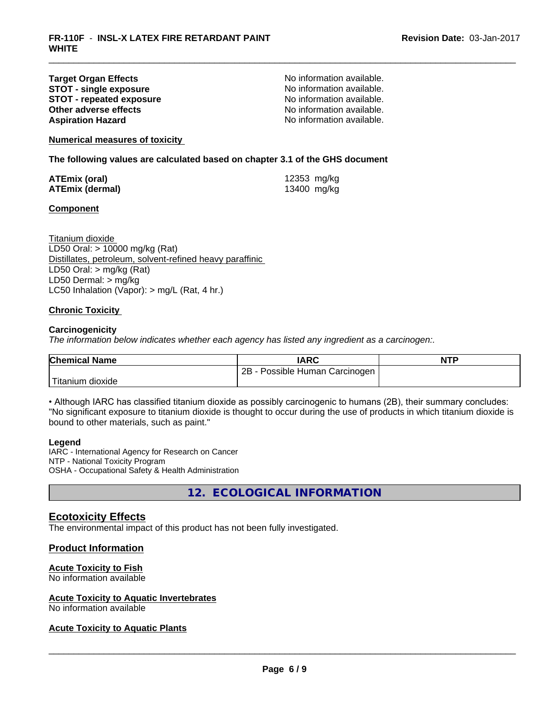#### **Target Organ Effects**<br> **STOT - single exposure**<br> **STOT - single exposure**<br> **No information available. STOT -** single exposure<br> **STOT -** repeated exposure<br>
No information available. **STOT** - **repeated exposure**<br> **Other adverse effects**<br> **Other adverse effects**<br> **Other adverse effects Other adverse effects Aspiration Hazard Aspiration Hazard No information available.**

**Numerical measures of toxicity**

**The following values are calculated based on chapter 3.1 of the GHS document**

| ATEmix (oral)          | 12353 mg/kg |
|------------------------|-------------|
| <b>ATEmix (dermal)</b> | 13400 mg/kg |

#### **Component**

Titanium dioxide LD50 Oral: > 10000 mg/kg (Rat) Distillates, petroleum, solvent-refined heavy paraffinic LD50 Oral: > mg/kg (Rat) LD50 Dermal: > mg/kg LC50 Inhalation (Vapor): > mg/L (Rat, 4 hr.)

#### **Chronic Toxicity**

#### **Carcinogenicity**

*The information below indicateswhether each agency has listed any ingredient as a carcinogen:.*

| <b>Chemical Name</b>   | <b>IARC</b>                     | <b>NTP</b> |
|------------------------|---------------------------------|------------|
|                        | Possible Human Carcinogen<br>2B |            |
| Titanium L<br>⊧dioxide |                                 |            |

• Although IARC has classified titanium dioxide as possibly carcinogenic to humans (2B), their summary concludes: "No significant exposure to titanium dioxide is thought to occur during the use of products in which titanium dioxide is bound to other materials, such as paint."

#### **Legend**

IARC - International Agency for Research on Cancer NTP - National Toxicity Program OSHA - Occupational Safety & Health Administration

**12. ECOLOGICAL INFORMATION**

#### **Ecotoxicity Effects**

The environmental impact of this product has not been fully investigated.

#### **Product Information**

#### **Acute Toxicity to Fish**

No information available

#### **Acute Toxicity to Aquatic Invertebrates**

No information available

#### **Acute Toxicity to Aquatic Plants**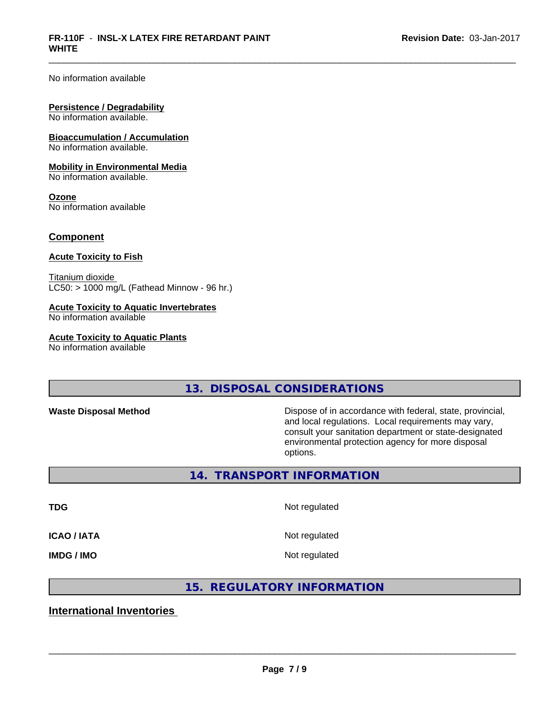No information available

#### **Persistence / Degradability**

No information available.

#### **Bioaccumulation / Accumulation**

No information available.

#### **Mobility in Environmental Media**

No information available.

#### **Ozone**

No information available

#### **Component**

#### **Acute Toxicity to Fish**

Titanium dioxide  $LC50:$  > 1000 mg/L (Fathead Minnow - 96 hr.)

#### **Acute Toxicity to Aquatic Invertebrates**

No information available

#### **Acute Toxicity to Aquatic Plants**

No information available

### **13. DISPOSAL CONSIDERATIONS**

**Waste Disposal Method** Dispose of in accordance with federal, state, provincial, and local regulations. Local requirements may vary, consult your sanitation department or state-designated environmental protection agency for more disposal options.

**14. TRANSPORT INFORMATION**

**ICAO / IATA** Not regulated

#### **TDG** Not regulated

**IMDG / IMO** Not regulated

 $\overline{\phantom{a}}$  ,  $\overline{\phantom{a}}$  ,  $\overline{\phantom{a}}$  ,  $\overline{\phantom{a}}$  ,  $\overline{\phantom{a}}$  ,  $\overline{\phantom{a}}$  ,  $\overline{\phantom{a}}$  ,  $\overline{\phantom{a}}$  ,  $\overline{\phantom{a}}$  ,  $\overline{\phantom{a}}$  ,  $\overline{\phantom{a}}$  ,  $\overline{\phantom{a}}$  ,  $\overline{\phantom{a}}$  ,  $\overline{\phantom{a}}$  ,  $\overline{\phantom{a}}$  ,  $\overline{\phantom{a}}$ 

#### **15. REGULATORY INFORMATION**

#### **International Inventories**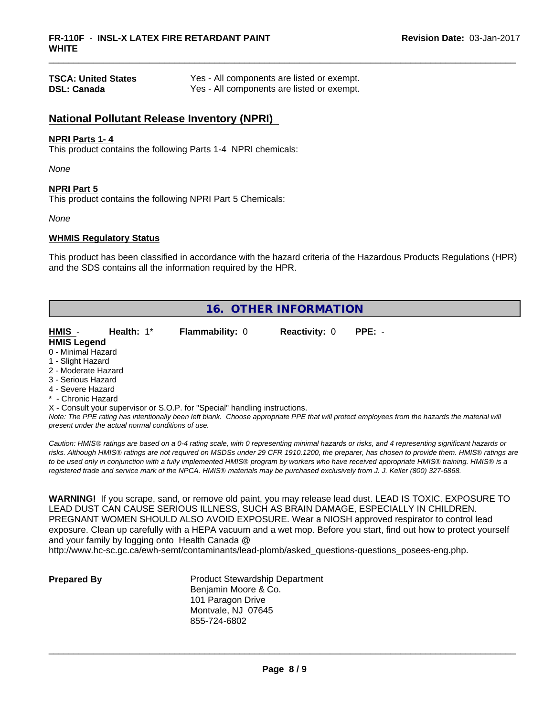| <b>TSCA: United States</b> | Yes - All components are listed or exempt. |
|----------------------------|--------------------------------------------|
| <b>DSL: Canada</b>         | Yes - All components are listed or exempt. |

#### **National Pollutant Release Inventory (NPRI)**

#### **NPRI Parts 1- 4**

This product contains the following Parts 1-4 NPRI chemicals:

*None*

#### **NPRI Part 5**

This product contains the following NPRI Part 5 Chemicals:

*None*

#### **WHMIS Regulatory Status**

This product has been classified in accordance with the hazard criteria of the Hazardous Products Regulations (HPR) and the SDS contains all the information required by the HPR.

| 16. OTHER INFORMATION |                                                    |                                                                            |                      |                                                                                                                                               |  |
|-----------------------|----------------------------------------------------|----------------------------------------------------------------------------|----------------------|-----------------------------------------------------------------------------------------------------------------------------------------------|--|
| HMIS -                | Health: $1^*$                                      | <b>Flammability: 0</b>                                                     | <b>Reactivity: 0</b> | $PPE: -$                                                                                                                                      |  |
| <b>HMIS Legend</b>    |                                                    |                                                                            |                      |                                                                                                                                               |  |
| 0 - Minimal Hazard    |                                                    |                                                                            |                      |                                                                                                                                               |  |
| 1 - Slight Hazard     |                                                    |                                                                            |                      |                                                                                                                                               |  |
| 2 - Moderate Hazard   |                                                    |                                                                            |                      |                                                                                                                                               |  |
| 3 - Serious Hazard    |                                                    |                                                                            |                      |                                                                                                                                               |  |
| 4 - Severe Hazard     |                                                    |                                                                            |                      |                                                                                                                                               |  |
| * - Chronic Hazard    |                                                    |                                                                            |                      |                                                                                                                                               |  |
|                       |                                                    | X - Consult your supervisor or S.O.P. for "Special" handling instructions. |                      |                                                                                                                                               |  |
|                       |                                                    |                                                                            |                      | Note: The PPE rating has intentionally been left blank. Choose appropriate PPE that will protect employees from the hazards the material will |  |
|                       | present under the actual normal conditions of use. |                                                                            |                      |                                                                                                                                               |  |

*Caution: HMISÒ ratings are based on a 0-4 rating scale, with 0 representing minimal hazards or risks, and 4 representing significant hazards or risks. Although HMISÒ ratings are not required on MSDSs under 29 CFR 1910.1200, the preparer, has chosen to provide them. HMISÒ ratings are to be used only in conjunction with a fully implemented HMISÒ program by workers who have received appropriate HMISÒ training. HMISÒ is a registered trade and service mark of the NPCA. HMISÒ materials may be purchased exclusively from J. J. Keller (800) 327-6868.*

**WARNING!** If you scrape, sand, or remove old paint, you may release lead dust. LEAD IS TOXIC. EXPOSURE TO LEAD DUST CAN CAUSE SERIOUS ILLNESS, SUCH AS BRAIN DAMAGE, ESPECIALLY IN CHILDREN. PREGNANT WOMEN SHOULD ALSO AVOID EXPOSURE.Wear a NIOSH approved respirator to control lead exposure. Clean up carefully with a HEPA vacuum and a wet mop. Before you start, find out how to protect yourself and your family by logging onto Health Canada @

http://www.hc-sc.gc.ca/ewh-semt/contaminants/lead-plomb/asked\_questions-questions\_posees-eng.php.

**Prepared By** Product Stewardship Department Benjamin Moore & Co. 101 Paragon Drive Montvale, NJ 07645 855-724-6802